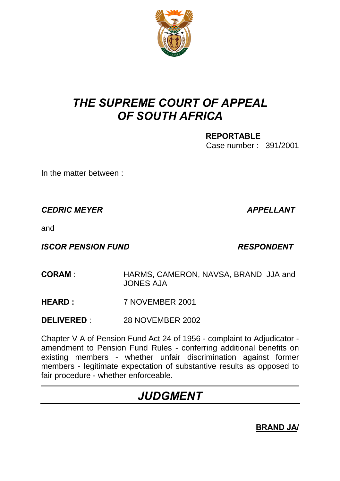

# *THE SUPREME COURT OF APPEAL OF SOUTH AFRICA*

**REPORTABLE** Case number : 391/2001

In the matter between :

*CEDRIC MEYER APPELLANT*

and

**ISCOR PENSION FUND RESPONDENT** 

- **CORAM** : HARMS, CAMERON, NAVSA, BRAND JJA and JONES AJA
- **HEARD :** 7 NOVEMBER 2001
- **DELIVERED** : 28 NOVEMBER 2002

Chapter V A of Pension Fund Act 24 of 1956 - complaint to Adjudicator amendment to Pension Fund Rules - conferring additional benefits on existing members - whether unfair discrimination against former members - legitimate expectation of substantive results as opposed to fair procedure - whether enforceable.

# *JUDGMENT*

**BRAND JA/**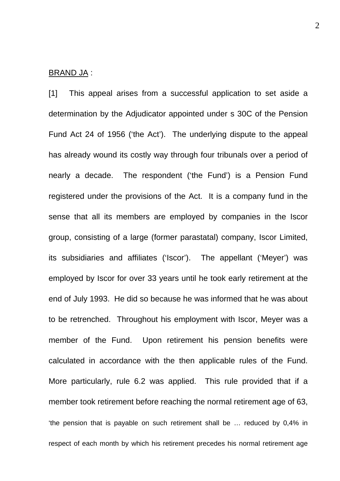#### BRAND JA :

[1] This appeal arises from a successful application to set aside a determination by the Adjudicator appointed under s 30C of the Pension Fund Act 24 of 1956 ('the Act'). The underlying dispute to the appeal has already wound its costly way through four tribunals over a period of nearly a decade. The respondent ('the Fund') is a Pension Fund registered under the provisions of the Act. It is a company fund in the sense that all its members are employed by companies in the Iscor group, consisting of a large (former parastatal) company, Iscor Limited, its subsidiaries and affiliates ('Iscor'). The appellant ('Meyer') was employed by Iscor for over 33 years until he took early retirement at the end of July 1993. He did so because he was informed that he was about to be retrenched. Throughout his employment with Iscor, Meyer was a member of the Fund. Upon retirement his pension benefits were calculated in accordance with the then applicable rules of the Fund. More particularly, rule 6.2 was applied. This rule provided that if a member took retirement before reaching the normal retirement age of 63, 'the pension that is payable on such retirement shall be … reduced by 0,4% in respect of each month by which his retirement precedes his normal retirement age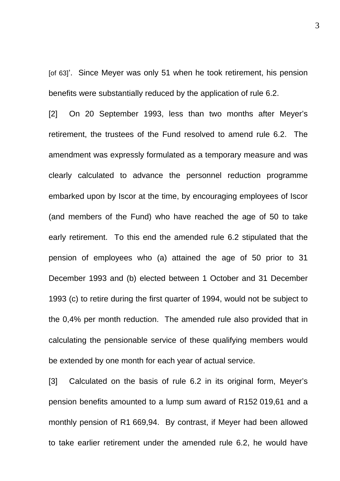[of 63]'. Since Meyer was only 51 when he took retirement, his pension benefits were substantially reduced by the application of rule 6.2.

[2] On 20 September 1993, less than two months after Meyer's retirement, the trustees of the Fund resolved to amend rule 6.2. The amendment was expressly formulated as a temporary measure and was clearly calculated to advance the personnel reduction programme embarked upon by Iscor at the time, by encouraging employees of Iscor (and members of the Fund) who have reached the age of 50 to take early retirement. To this end the amended rule 6.2 stipulated that the pension of employees who (a) attained the age of 50 prior to 31 December 1993 and (b) elected between 1 October and 31 December 1993 (c) to retire during the first quarter of 1994, would not be subject to the 0,4% per month reduction. The amended rule also provided that in calculating the pensionable service of these qualifying members would be extended by one month for each year of actual service.

[3] Calculated on the basis of rule 6.2 in its original form, Meyer's pension benefits amounted to a lump sum award of R152 019,61 and a monthly pension of R1 669,94. By contrast, if Meyer had been allowed to take earlier retirement under the amended rule 6.2, he would have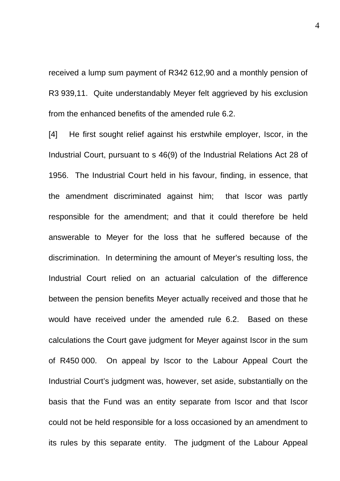received a lump sum payment of R342 612,90 and a monthly pension of R3 939,11. Quite understandably Meyer felt aggrieved by his exclusion from the enhanced benefits of the amended rule 6.2.

[4] He first sought relief against his erstwhile employer, Iscor, in the Industrial Court, pursuant to s 46(9) of the Industrial Relations Act 28 of 1956. The Industrial Court held in his favour, finding, in essence, that the amendment discriminated against him; that Iscor was partly responsible for the amendment; and that it could therefore be held answerable to Meyer for the loss that he suffered because of the discrimination. In determining the amount of Meyer's resulting loss, the Industrial Court relied on an actuarial calculation of the difference between the pension benefits Meyer actually received and those that he would have received under the amended rule 6.2. Based on these calculations the Court gave judgment for Meyer against Iscor in the sum of R450 000. On appeal by Iscor to the Labour Appeal Court the Industrial Court's judgment was, however, set aside, substantially on the basis that the Fund was an entity separate from Iscor and that Iscor could not be held responsible for a loss occasioned by an amendment to its rules by this separate entity. The judgment of the Labour Appeal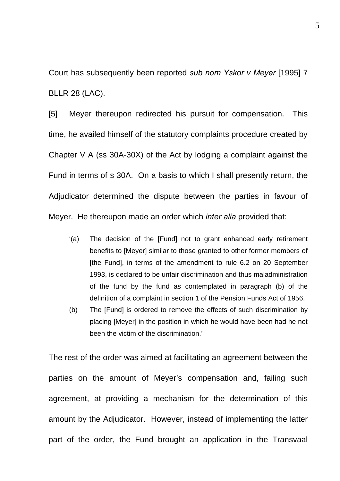Court has subsequently been reported *sub nom Yskor v Meyer* [1995] 7 BLLR 28 (LAC).

[5] Meyer thereupon redirected his pursuit for compensation. This time, he availed himself of the statutory complaints procedure created by Chapter V A (ss 30A-30X) of the Act by lodging a complaint against the Fund in terms of s 30A. On a basis to which I shall presently return, the Adjudicator determined the dispute between the parties in favour of Meyer. He thereupon made an order which *inter alia* provided that:

- '(a) The decision of the [Fund] not to grant enhanced early retirement benefits to [Meyer] similar to those granted to other former members of [the Fund], in terms of the amendment to rule 6.2 on 20 September 1993, is declared to be unfair discrimination and thus maladministration of the fund by the fund as contemplated in paragraph (b) of the definition of a complaint in section 1 of the Pension Funds Act of 1956.
- (b) The [Fund] is ordered to remove the effects of such discrimination by placing [Meyer] in the position in which he would have been had he not been the victim of the discrimination.'

The rest of the order was aimed at facilitating an agreement between the parties on the amount of Meyer's compensation and, failing such agreement, at providing a mechanism for the determination of this amount by the Adjudicator. However, instead of implementing the latter part of the order, the Fund brought an application in the Transvaal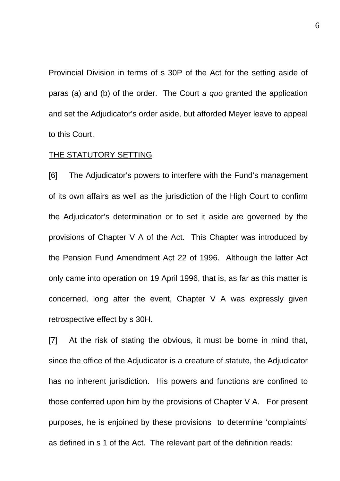Provincial Division in terms of s 30P of the Act for the setting aside of paras (a) and (b) of the order. The Court *a quo* granted the application and set the Adjudicator's order aside, but afforded Meyer leave to appeal to this Court.

## THE STATUTORY SETTING

[6] The Adjudicator's powers to interfere with the Fund's management of its own affairs as well as the jurisdiction of the High Court to confirm the Adjudicator's determination or to set it aside are governed by the provisions of Chapter V A of the Act. This Chapter was introduced by the Pension Fund Amendment Act 22 of 1996. Although the latter Act only came into operation on 19 April 1996, that is, as far as this matter is concerned, long after the event, Chapter V A was expressly given retrospective effect by s 30H.

[7] At the risk of stating the obvious, it must be borne in mind that, since the office of the Adjudicator is a creature of statute, the Adjudicator has no inherent jurisdiction. His powers and functions are confined to those conferred upon him by the provisions of Chapter V A. For present purposes, he is enjoined by these provisions to determine 'complaints' as defined in s 1 of the Act. The relevant part of the definition reads: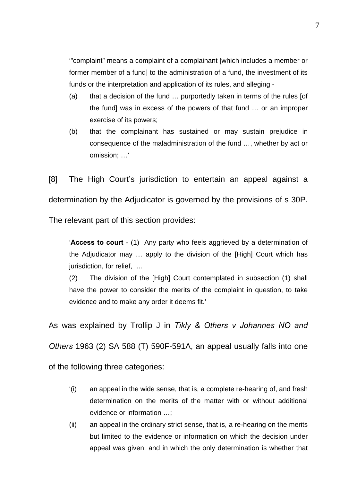'"complaint" means a complaint of a complainant [which includes a member or former member of a fund] to the administration of a fund, the investment of its funds or the interpretation and application of its rules, and alleging -

- (a) that a decision of the fund … purportedly taken in terms of the rules [of the fund] was in excess of the powers of that fund … or an improper exercise of its powers;
- (b) that the complainant has sustained or may sustain prejudice in consequence of the maladministration of the fund …, whether by act or omission; …'

[8] The High Court's jurisdiction to entertain an appeal against a determination by the Adjudicator is governed by the provisions of s 30P. The relevant part of this section provides:

'**Access to court** - (1) Any party who feels aggrieved by a determination of the Adjudicator may … apply to the division of the [High] Court which has jurisdiction, for relief, …

(2) The division of the [High] Court contemplated in subsection (1) shall have the power to consider the merits of the complaint in question, to take evidence and to make any order it deems fit.'

As was explained by Trollip J in *Tikly & Others v Johannes NO and Others* 1963 (2) SA 588 (T) 590F-591A, an appeal usually falls into one of the following three categories:

- '(i) an appeal in the wide sense, that is, a complete re-hearing of, and fresh determination on the merits of the matter with or without additional evidence or information …;
- (ii) an appeal in the ordinary strict sense, that is, a re-hearing on the merits but limited to the evidence or information on which the decision under appeal was given, and in which the only determination is whether that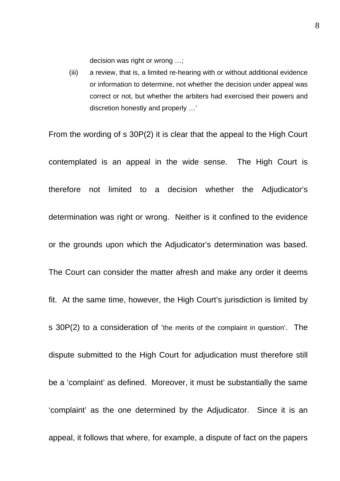decision was right or wrong …;

(iii) a review, that is, a limited re-hearing with or without additional evidence or information to determine, not whether the decision under appeal was correct or not, but whether the arbiters had exercised their powers and discretion honestly and properly …'

From the wording of s 30P(2) it is clear that the appeal to the High Court contemplated is an appeal in the wide sense. The High Court is therefore not limited to a decision whether the Adjudicator's determination was right or wrong. Neither is it confined to the evidence or the grounds upon which the Adjudicator's determination was based. The Court can consider the matter afresh and make any order it deems fit. At the same time, however, the High Court's jurisdiction is limited by s 30P(2) to a consideration of 'the merits of the complaint in question'. The dispute submitted to the High Court for adjudication must therefore still be a 'complaint' as defined. Moreover, it must be substantially the same 'complaint' as the one determined by the Adjudicator. Since it is an appeal, it follows that where, for example, a dispute of fact on the papers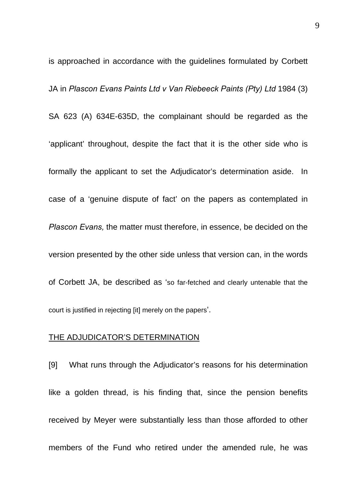is approached in accordance with the guidelines formulated by Corbett JA in *Plascon Evans Paints Ltd v Van Riebeeck Paints (Pty) Ltd* 1984 (3) SA 623 (A) 634E-635D, the complainant should be regarded as the 'applicant' throughout, despite the fact that it is the other side who is formally the applicant to set the Adjudicator's determination aside. In case of a 'genuine dispute of fact' on the papers as contemplated in *Plascon Evans,* the matter must therefore, in essence, be decided on the version presented by the other side unless that version can, in the words of Corbett JA, be described as 'so far-fetched and clearly untenable that the court is justified in rejecting [it] merely on the papers'.

### THE ADJUDICATOR'S DETERMINATION

[9] What runs through the Adjudicator's reasons for his determination like a golden thread, is his finding that, since the pension benefits received by Meyer were substantially less than those afforded to other members of the Fund who retired under the amended rule, he was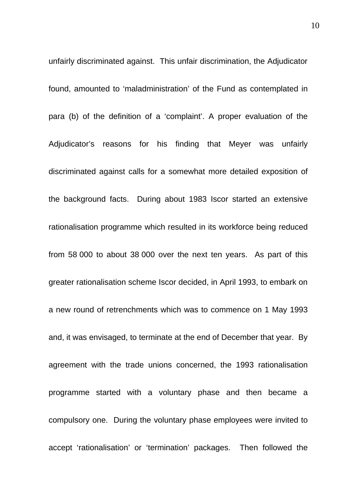unfairly discriminated against. This unfair discrimination, the Adjudicator found, amounted to 'maladministration' of the Fund as contemplated in para (b) of the definition of a 'complaint'. A proper evaluation of the Adjudicator's reasons for his finding that Meyer was unfairly discriminated against calls for a somewhat more detailed exposition of the background facts. During about 1983 Iscor started an extensive rationalisation programme which resulted in its workforce being reduced from 58 000 to about 38 000 over the next ten years. As part of this greater rationalisation scheme Iscor decided, in April 1993, to embark on a new round of retrenchments which was to commence on 1 May 1993 and, it was envisaged, to terminate at the end of December that year. By agreement with the trade unions concerned, the 1993 rationalisation programme started with a voluntary phase and then became a compulsory one. During the voluntary phase employees were invited to accept 'rationalisation' or 'termination' packages. Then followed the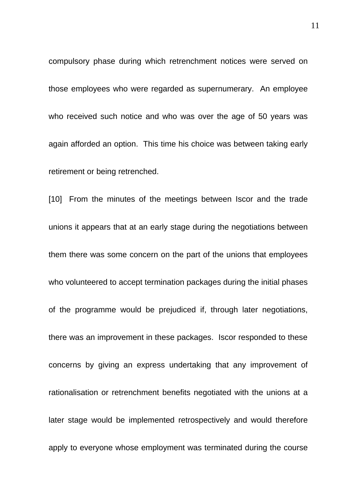compulsory phase during which retrenchment notices were served on those employees who were regarded as supernumerary. An employee who received such notice and who was over the age of 50 years was again afforded an option. This time his choice was between taking early retirement or being retrenched.

[10] From the minutes of the meetings between Iscor and the trade unions it appears that at an early stage during the negotiations between them there was some concern on the part of the unions that employees who volunteered to accept termination packages during the initial phases of the programme would be prejudiced if, through later negotiations, there was an improvement in these packages. Iscor responded to these concerns by giving an express undertaking that any improvement of rationalisation or retrenchment benefits negotiated with the unions at a later stage would be implemented retrospectively and would therefore apply to everyone whose employment was terminated during the course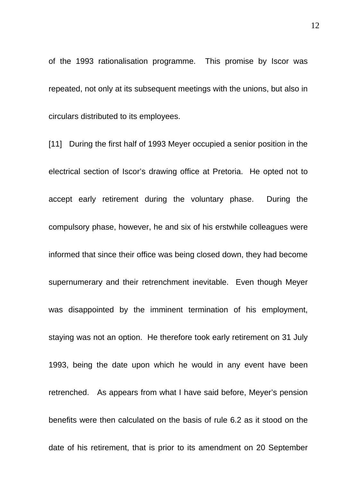of the 1993 rationalisation programme. This promise by Iscor was repeated, not only at its subsequent meetings with the unions, but also in circulars distributed to its employees.

[11] During the first half of 1993 Meyer occupied a senior position in the electrical section of Iscor's drawing office at Pretoria. He opted not to accept early retirement during the voluntary phase. During the compulsory phase, however, he and six of his erstwhile colleagues were informed that since their office was being closed down, they had become supernumerary and their retrenchment inevitable. Even though Meyer was disappointed by the imminent termination of his employment, staying was not an option. He therefore took early retirement on 31 July 1993, being the date upon which he would in any event have been retrenched. As appears from what I have said before, Meyer's pension benefits were then calculated on the basis of rule 6.2 as it stood on the date of his retirement, that is prior to its amendment on 20 September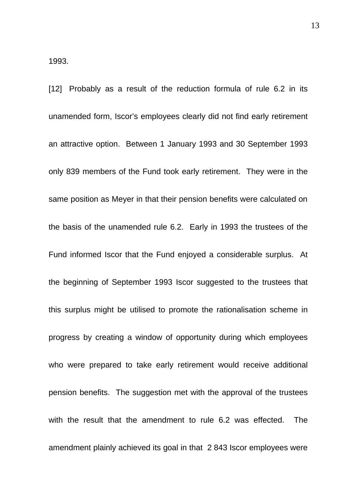[12] Probably as a result of the reduction formula of rule 6.2 in its unamended form, Iscor's employees clearly did not find early retirement an attractive option. Between 1 January 1993 and 30 September 1993 only 839 members of the Fund took early retirement. They were in the same position as Meyer in that their pension benefits were calculated on the basis of the unamended rule 6.2. Early in 1993 the trustees of the Fund informed Iscor that the Fund enjoyed a considerable surplus. At the beginning of September 1993 Iscor suggested to the trustees that this surplus might be utilised to promote the rationalisation scheme in progress by creating a window of opportunity during which employees who were prepared to take early retirement would receive additional pension benefits. The suggestion met with the approval of the trustees with the result that the amendment to rule 6.2 was effected. The amendment plainly achieved its goal in that 2 843 Iscor employees were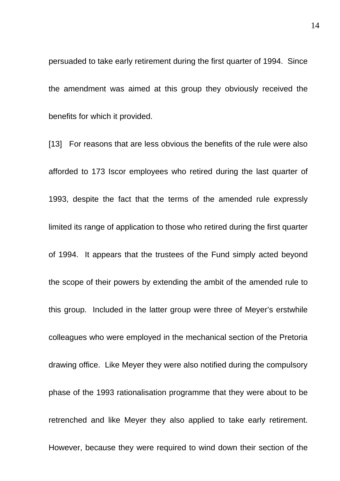persuaded to take early retirement during the first quarter of 1994. Since the amendment was aimed at this group they obviously received the benefits for which it provided.

[13] For reasons that are less obvious the benefits of the rule were also afforded to 173 Iscor employees who retired during the last quarter of 1993, despite the fact that the terms of the amended rule expressly limited its range of application to those who retired during the first quarter of 1994. It appears that the trustees of the Fund simply acted beyond the scope of their powers by extending the ambit of the amended rule to this group. Included in the latter group were three of Meyer's erstwhile colleagues who were employed in the mechanical section of the Pretoria drawing office. Like Meyer they were also notified during the compulsory phase of the 1993 rationalisation programme that they were about to be retrenched and like Meyer they also applied to take early retirement. However, because they were required to wind down their section of the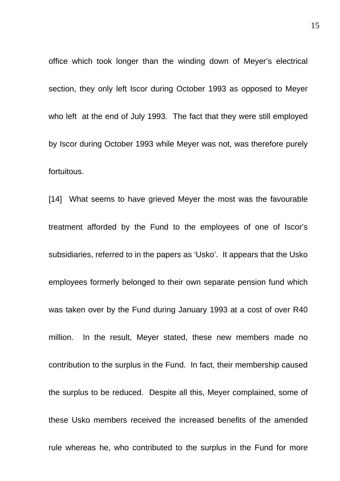office which took longer than the winding down of Meyer's electrical section, they only left Iscor during October 1993 as opposed to Meyer who left at the end of July 1993. The fact that they were still employed by Iscor during October 1993 while Meyer was not, was therefore purely fortuitous.

[14] What seems to have grieved Meyer the most was the favourable treatment afforded by the Fund to the employees of one of Iscor's subsidiaries, referred to in the papers as 'Usko'. It appears that the Usko employees formerly belonged to their own separate pension fund which was taken over by the Fund during January 1993 at a cost of over R40 million. In the result, Meyer stated, these new members made no contribution to the surplus in the Fund. In fact, their membership caused the surplus to be reduced. Despite all this, Meyer complained, some of these Usko members received the increased benefits of the amended rule whereas he, who contributed to the surplus in the Fund for more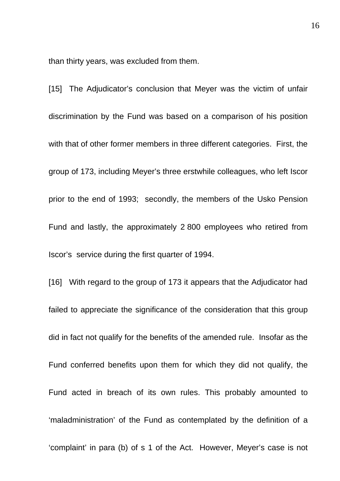than thirty years, was excluded from them.

[15] The Adjudicator's conclusion that Meyer was the victim of unfair discrimination by the Fund was based on a comparison of his position with that of other former members in three different categories. First, the group of 173, including Meyer's three erstwhile colleagues, who left Iscor prior to the end of 1993; secondly, the members of the Usko Pension Fund and lastly, the approximately 2 800 employees who retired from Iscor's service during the first quarter of 1994.

[16] With regard to the group of 173 it appears that the Adjudicator had failed to appreciate the significance of the consideration that this group did in fact not qualify for the benefits of the amended rule. Insofar as the Fund conferred benefits upon them for which they did not qualify, the Fund acted in breach of its own rules. This probably amounted to 'maladministration' of the Fund as contemplated by the definition of a 'complaint' in para (b) of s 1 of the Act. However, Meyer's case is not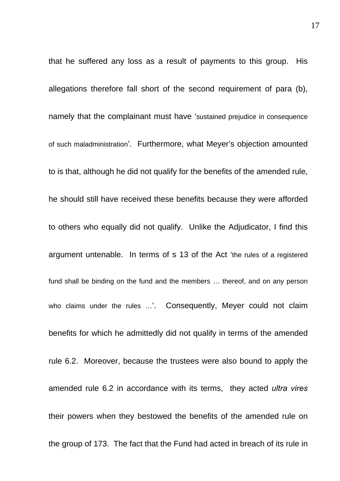that he suffered any loss as a result of payments to this group. His allegations therefore fall short of the second requirement of para (b), namely that the complainant must have 'sustained prejudice in consequence of such maladministration'. Furthermore, what Meyer's objection amounted to is that, although he did not qualify for the benefits of the amended rule, he should still have received these benefits because they were afforded to others who equally did not qualify. Unlike the Adjudicator, I find this argument untenable. In terms of s 13 of the Act 'the rules of a registered fund shall be binding on the fund and the members … thereof, and on any person who claims under the rules ...'. Consequently, Meyer could not claim benefits for which he admittedly did not qualify in terms of the amended rule 6.2. Moreover, because the trustees were also bound to apply the amended rule 6.2 in accordance with its terms, they acted *ultra vires* their powers when they bestowed the benefits of the amended rule on the group of 173. The fact that the Fund had acted in breach of its rule in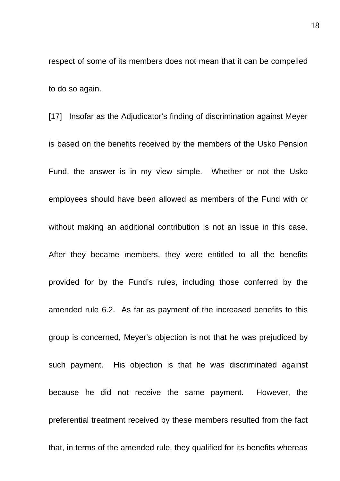respect of some of its members does not mean that it can be compelled to do so again.

[17] Insofar as the Adjudicator's finding of discrimination against Meyer is based on the benefits received by the members of the Usko Pension Fund, the answer is in my view simple. Whether or not the Usko employees should have been allowed as members of the Fund with or without making an additional contribution is not an issue in this case. After they became members, they were entitled to all the benefits provided for by the Fund's rules, including those conferred by the amended rule 6.2. As far as payment of the increased benefits to this group is concerned, Meyer's objection is not that he was prejudiced by such payment. His objection is that he was discriminated against because he did not receive the same payment. However, the preferential treatment received by these members resulted from the fact that, in terms of the amended rule, they qualified for its benefits whereas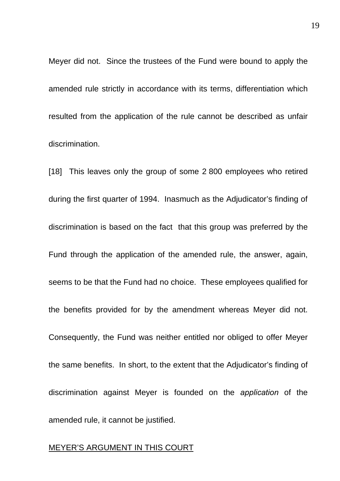Meyer did not. Since the trustees of the Fund were bound to apply the amended rule strictly in accordance with its terms, differentiation which resulted from the application of the rule cannot be described as unfair discrimination.

[18] This leaves only the group of some 2 800 employees who retired during the first quarter of 1994. Inasmuch as the Adjudicator's finding of discrimination is based on the fact that this group was preferred by the Fund through the application of the amended rule, the answer, again, seems to be that the Fund had no choice. These employees qualified for the benefits provided for by the amendment whereas Meyer did not. Consequently, the Fund was neither entitled nor obliged to offer Meyer the same benefits. In short, to the extent that the Adjudicator's finding of discrimination against Meyer is founded on the *application* of the amended rule, it cannot be justified.

### MEYER'S ARGUMENT IN THIS COURT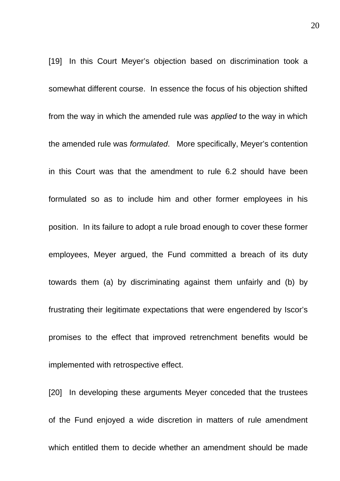[19] In this Court Meyer's objection based on discrimination took a somewhat different course. In essence the focus of his objection shifted from the way in which the amended rule was *applied* t*o* the way in which the amended rule was *formulated*. More specifically, Meyer's contention in this Court was that the amendment to rule 6.2 should have been formulated so as to include him and other former employees in his position. In its failure to adopt a rule broad enough to cover these former employees, Meyer argued, the Fund committed a breach of its duty towards them (a) by discriminating against them unfairly and (b) by frustrating their legitimate expectations that were engendered by Iscor's promises to the effect that improved retrenchment benefits would be implemented with retrospective effect.

[20] In developing these arguments Meyer conceded that the trustees of the Fund enjoyed a wide discretion in matters of rule amendment which entitled them to decide whether an amendment should be made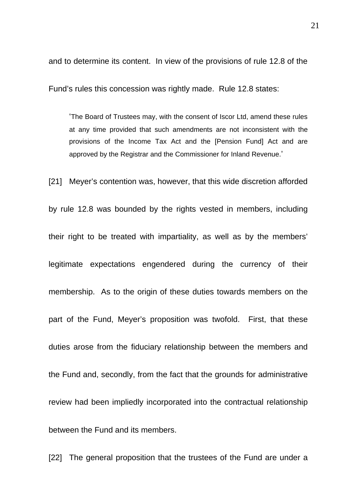and to determine its content. In view of the provisions of rule 12.8 of the

Fund's rules this concession was rightly made. Rule 12.8 states:

'The Board of Trustees may, with the consent of Iscor Ltd, amend these rules at any time provided that such amendments are not inconsistent with the provisions of the Income Tax Act and the [Pension Fund] Act and are approved by the Registrar and the Commissioner for Inland Revenue.'

[21] Meyer's contention was, however, that this wide discretion afforded

by rule 12.8 was bounded by the rights vested in members, including their right to be treated with impartiality, as well as by the members' legitimate expectations engendered during the currency of their membership. As to the origin of these duties towards members on the part of the Fund, Meyer's proposition was twofold. First, that these duties arose from the fiduciary relationship between the members and the Fund and, secondly, from the fact that the grounds for administrative review had been impliedly incorporated into the contractual relationship between the Fund and its members.

[22] The general proposition that the trustees of the Fund are under a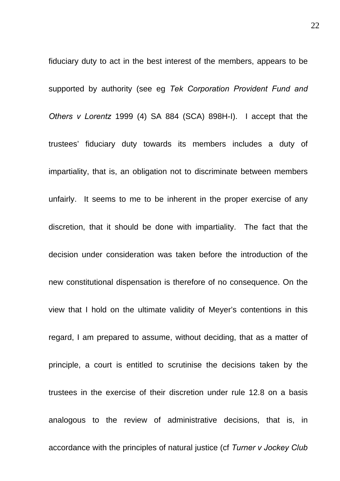fiduciary duty to act in the best interest of the members, appears to be supported by authority (see eg *Tek Corporation Provident Fund and Others v Lorentz* 1999 (4) SA 884 (SCA) 898H-I). I accept that the trustees' fiduciary duty towards its members includes a duty of impartiality, that is, an obligation not to discriminate between members unfairly. It seems to me to be inherent in the proper exercise of any discretion, that it should be done with impartiality. The fact that the decision under consideration was taken before the introduction of the new constitutional dispensation is therefore of no consequence. On the view that I hold on the ultimate validity of Meyer's contentions in this regard, I am prepared to assume, without deciding, that as a matter of principle, a court is entitled to scrutinise the decisions taken by the trustees in the exercise of their discretion under rule 12.8 on a basis analogous to the review of administrative decisions, that is, in accordance with the principles of natural justice (cf *Turner v Jockey Club*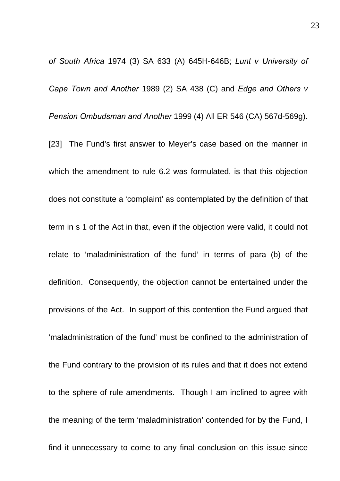*of South Africa* 1974 (3) SA 633 (A) 645H-646B; *Lunt v University of Cape Town and Another* 1989 (2) SA 438 (C) and *Edge and Others v Pension Ombudsman and Another* 1999 (4) All ER 546 (CA) 567d-569g).

[23] The Fund's first answer to Meyer's case based on the manner in which the amendment to rule 6.2 was formulated, is that this objection does not constitute a 'complaint' as contemplated by the definition of that term in s 1 of the Act in that, even if the objection were valid, it could not relate to 'maladministration of the fund' in terms of para (b) of the definition. Consequently, the objection cannot be entertained under the provisions of the Act. In support of this contention the Fund argued that 'maladministration of the fund' must be confined to the administration of the Fund contrary to the provision of its rules and that it does not extend to the sphere of rule amendments. Though I am inclined to agree with the meaning of the term 'maladministration' contended for by the Fund, I find it unnecessary to come to any final conclusion on this issue since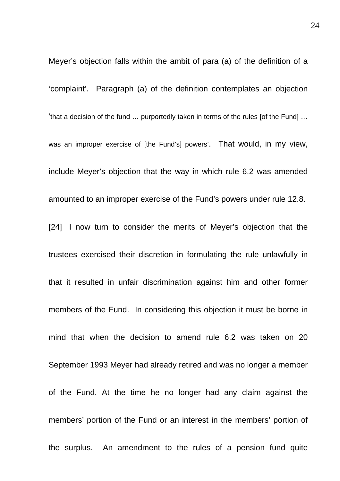Meyer's objection falls within the ambit of para (a) of the definition of a 'complaint'. Paragraph (a) of the definition contemplates an objection 'that a decision of the fund … purportedly taken in terms of the rules [of the Fund] … was an improper exercise of [the Fund's] powers'. That would, in my view, include Meyer's objection that the way in which rule 6.2 was amended amounted to an improper exercise of the Fund's powers under rule 12.8. [24] I now turn to consider the merits of Meyer's objection that the trustees exercised their discretion in formulating the rule unlawfully in that it resulted in unfair discrimination against him and other former members of the Fund. In considering this objection it must be borne in mind that when the decision to amend rule 6.2 was taken on 20 September 1993 Meyer had already retired and was no longer a member of the Fund. At the time he no longer had any claim against the members' portion of the Fund or an interest in the members' portion of the surplus. An amendment to the rules of a pension fund quite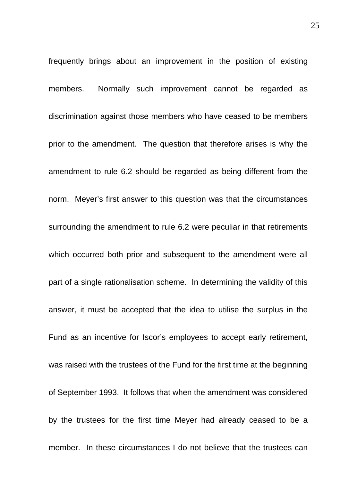frequently brings about an improvement in the position of existing members. Normally such improvement cannot be regarded as discrimination against those members who have ceased to be members prior to the amendment. The question that therefore arises is why the amendment to rule 6.2 should be regarded as being different from the norm. Meyer's first answer to this question was that the circumstances surrounding the amendment to rule 6.2 were peculiar in that retirements which occurred both prior and subsequent to the amendment were all part of a single rationalisation scheme. In determining the validity of this answer, it must be accepted that the idea to utilise the surplus in the Fund as an incentive for Iscor's employees to accept early retirement, was raised with the trustees of the Fund for the first time at the beginning of September 1993. It follows that when the amendment was considered by the trustees for the first time Meyer had already ceased to be a member. In these circumstances I do not believe that the trustees can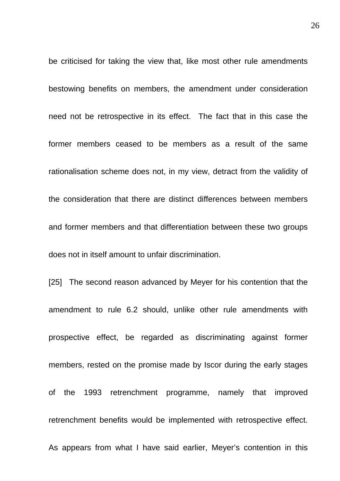be criticised for taking the view that, like most other rule amendments bestowing benefits on members, the amendment under consideration need not be retrospective in its effect. The fact that in this case the former members ceased to be members as a result of the same rationalisation scheme does not, in my view, detract from the validity of the consideration that there are distinct differences between members and former members and that differentiation between these two groups does not in itself amount to unfair discrimination.

[25] The second reason advanced by Meyer for his contention that the amendment to rule 6.2 should, unlike other rule amendments with prospective effect, be regarded as discriminating against former members, rested on the promise made by Iscor during the early stages of the 1993 retrenchment programme, namely that improved retrenchment benefits would be implemented with retrospective effect. As appears from what I have said earlier, Meyer's contention in this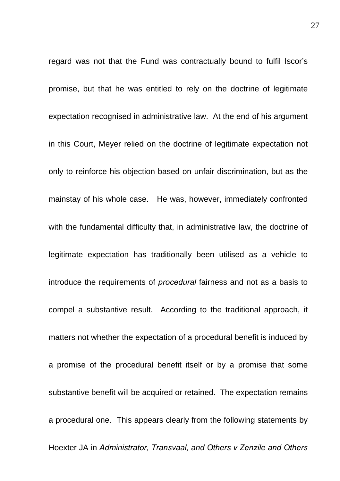regard was not that the Fund was contractually bound to fulfil Iscor's promise, but that he was entitled to rely on the doctrine of legitimate expectation recognised in administrative law. At the end of his argument in this Court, Meyer relied on the doctrine of legitimate expectation not only to reinforce his objection based on unfair discrimination, but as the mainstay of his whole case. He was, however, immediately confronted with the fundamental difficulty that, in administrative law, the doctrine of legitimate expectation has traditionally been utilised as a vehicle to introduce the requirements of *procedural* fairness and not as a basis to compel a substantive result. According to the traditional approach, it matters not whether the expectation of a procedural benefit is induced by a promise of the procedural benefit itself or by a promise that some substantive benefit will be acquired or retained. The expectation remains a procedural one. This appears clearly from the following statements by Hoexter JA in *Administrator, Transvaal, and Others v Zenzile and Others*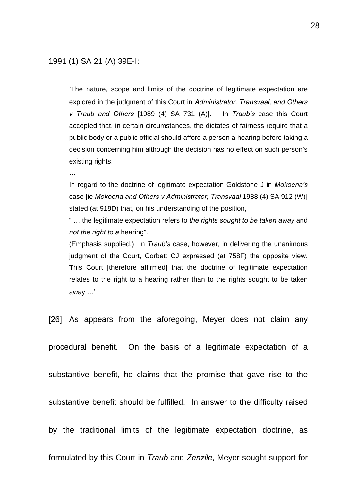'The nature, scope and limits of the doctrine of legitimate expectation are explored in the judgment of this Court in *Administrator, Transvaal, and Others v Traub and Others* [1989 (4) SA 731 (A)]. In *Traub's* case this Court accepted that, in certain circumstances, the dictates of fairness require that a public body or a public official should afford a person a hearing before taking a decision concerning him although the decision has no effect on such person's existing rights.

…

In regard to the doctrine of legitimate expectation Goldstone J in *Mokoena's*  case [ie *Mokoena and Others v Administrator, Transvaal* 1988 (4) SA 912 (W)] stated (at 918D) that, on his understanding of the position,

" … the legitimate expectation refers to *the rights sought to be taken away* and *not the right to a* hearing".

(Emphasis supplied.) In *Traub's* case, however, in delivering the unanimous judgment of the Court, Corbett CJ expressed (at 758F) the opposite view. This Court [therefore affirmed] that the doctrine of legitimate expectation relates to the right to a hearing rather than to the rights sought to be taken away …'

[26] As appears from the aforegoing, Meyer does not claim any

procedural benefit. On the basis of a legitimate expectation of a

substantive benefit, he claims that the promise that gave rise to the

substantive benefit should be fulfilled. In answer to the difficulty raised

by the traditional limits of the legitimate expectation doctrine, as

formulated by this Court in *Traub* and *Zenzile*, Meyer sought support for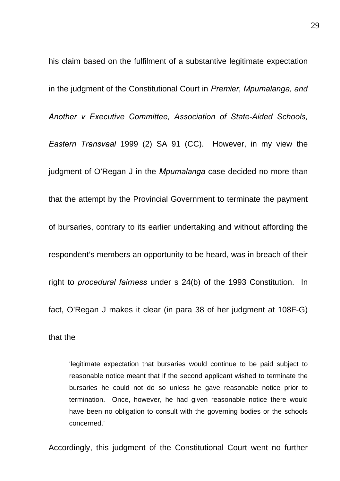his claim based on the fulfilment of a substantive legitimate expectation in the judgment of the Constitutional Court in *Premier, Mpumalanga, and Another v Executive Committee, Association of State-Aided Schools, Eastern Transvaal* 1999 (2) SA 91 (CC). However, in my view the judgment of O'Regan J in the *Mpumalanga* case decided no more than that the attempt by the Provincial Government to terminate the payment of bursaries, contrary to its earlier undertaking and without affording the respondent's members an opportunity to be heard, was in breach of their right to *procedural fairness* under s 24(b) of the 1993 Constitution. In fact, O'Regan J makes it clear (in para 38 of her judgment at 108F-G)

that the

'legitimate expectation that bursaries would continue to be paid subject to reasonable notice meant that if the second applicant wished to terminate the bursaries he could not do so unless he gave reasonable notice prior to termination. Once, however, he had given reasonable notice there would have been no obligation to consult with the governing bodies or the schools concerned.'

Accordingly, this judgment of the Constitutional Court went no further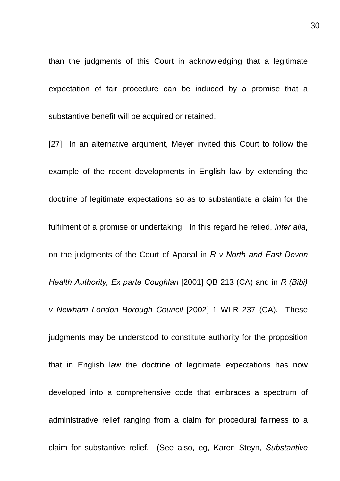than the judgments of this Court in acknowledging that a legitimate expectation of fair procedure can be induced by a promise that a substantive benefit will be acquired or retained.

[27] In an alternative argument, Meyer invited this Court to follow the example of the recent developments in English law by extending the doctrine of legitimate expectations so as to substantiate a claim for the fulfilment of a promise or undertaking. In this regard he relied, *inter alia*, on the judgments of the Court of Appeal in *R v North and East Devon Health Authority, Ex parte Coughlan* [2001] QB 213 (CA) and in *R (Bibi) v Newham London Borough Council* [2002] 1 WLR 237 (CA). These judgments may be understood to constitute authority for the proposition that in English law the doctrine of legitimate expectations has now developed into a comprehensive code that embraces a spectrum of administrative relief ranging from a claim for procedural fairness to a claim for substantive relief. (See also, eg, Karen Steyn, *Substantive*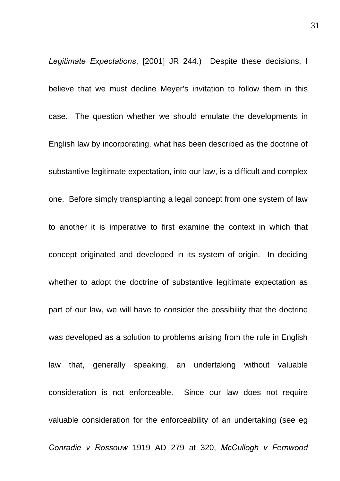*Legitimate Expectations*, [2001] JR 244.) Despite these decisions, I believe that we must decline Meyer's invitation to follow them in this case. The question whether we should emulate the developments in English law by incorporating, what has been described as the doctrine of substantive legitimate expectation, into our law, is a difficult and complex one. Before simply transplanting a legal concept from one system of law to another it is imperative to first examine the context in which that concept originated and developed in its system of origin. In deciding whether to adopt the doctrine of substantive legitimate expectation as part of our law, we will have to consider the possibility that the doctrine was developed as a solution to problems arising from the rule in English law that, generally speaking, an undertaking without valuable consideration is not enforceable. Since our law does not require valuable consideration for the enforceability of an undertaking (see eg *Conradie v Rossouw* 1919 AD 279 at 320, *McCullogh v Fernwood*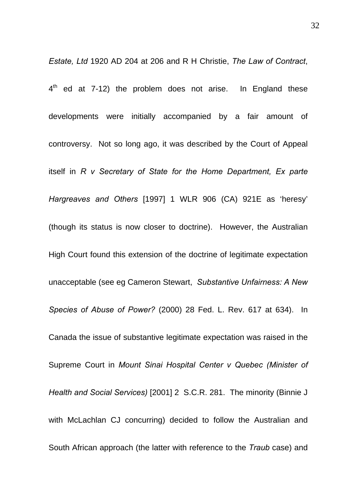*Estate, Ltd* 1920 AD 204 at 206 and R H Christie, *The Law of Contract*,  $4<sup>th</sup>$  ed at 7-12) the problem does not arise. In England these developments were initially accompanied by a fair amount of controversy. Not so long ago, it was described by the Court of Appeal itself in *R v Secretary of State for the Home Department, Ex parte Hargreaves and Others* [1997] 1 WLR 906 (CA) 921E as 'heresy' (though its status is now closer to doctrine). However, the Australian High Court found this extension of the doctrine of legitimate expectation unacceptable (see eg Cameron Stewart, *Substantive Unfairness: A New Species of Abuse of Power?* (2000) 28 Fed. L. Rev. 617 at 634). In Canada the issue of substantive legitimate expectation was raised in the Supreme Court in *Mount Sinai Hospital Center v Quebec (Minister of Health and Social Services)* [2001] 2 S.C.R. 281. The minority (Binnie J with McLachlan CJ concurring) decided to follow the Australian and South African approach (the latter with reference to the *Traub* case) and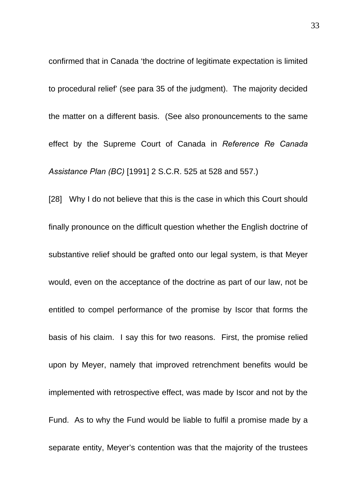confirmed that in Canada 'the doctrine of legitimate expectation is limited to procedural relief' (see para 35 of the judgment). The majority decided the matter on a different basis. (See also pronouncements to the same effect by the Supreme Court of Canada in *Reference Re Canada Assistance Plan (BC)* [1991] 2 S.C.R. 525 at 528 and 557.)

[28] Why I do not believe that this is the case in which this Court should finally pronounce on the difficult question whether the English doctrine of substantive relief should be grafted onto our legal system, is that Meyer would, even on the acceptance of the doctrine as part of our law, not be entitled to compel performance of the promise by Iscor that forms the basis of his claim. I say this for two reasons. First, the promise relied upon by Meyer, namely that improved retrenchment benefits would be implemented with retrospective effect, was made by Iscor and not by the Fund. As to why the Fund would be liable to fulfil a promise made by a separate entity, Meyer's contention was that the majority of the trustees

33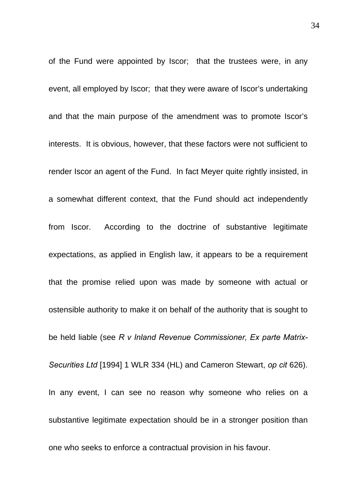of the Fund were appointed by Iscor; that the trustees were, in any event, all employed by Iscor; that they were aware of Iscor's undertaking and that the main purpose of the amendment was to promote Iscor's interests. It is obvious, however, that these factors were not sufficient to render Iscor an agent of the Fund. In fact Meyer quite rightly insisted, in a somewhat different context, that the Fund should act independently from Iscor. According to the doctrine of substantive legitimate expectations, as applied in English law, it appears to be a requirement that the promise relied upon was made by someone with actual or ostensible authority to make it on behalf of the authority that is sought to be held liable (see *R v Inland Revenue Commissioner, Ex parte Matrix-Securities Ltd* [1994] 1 WLR 334 (HL) and Cameron Stewart, *op cit* 626). In any event, I can see no reason why someone who relies on a substantive legitimate expectation should be in a stronger position than one who seeks to enforce a contractual provision in his favour.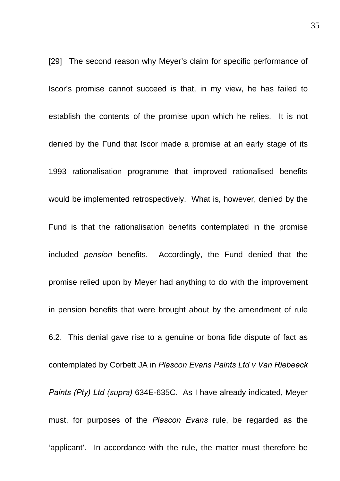[29] The second reason why Meyer's claim for specific performance of Iscor's promise cannot succeed is that, in my view, he has failed to establish the contents of the promise upon which he relies. It is not denied by the Fund that Iscor made a promise at an early stage of its 1993 rationalisation programme that improved rationalised benefits would be implemented retrospectively. What is, however, denied by the Fund is that the rationalisation benefits contemplated in the promise included *pension* benefits. Accordingly, the Fund denied that the promise relied upon by Meyer had anything to do with the improvement in pension benefits that were brought about by the amendment of rule 6.2. This denial gave rise to a genuine or bona fide dispute of fact as contemplated by Corbett JA in *Plascon Evans Paints Ltd v Van Riebeeck Paints (Pty) Ltd (supra)* 634E-635C. As I have already indicated, Meyer must, for purposes of the *Plascon Evans* rule, be regarded as the 'applicant'. In accordance with the rule, the matter must therefore be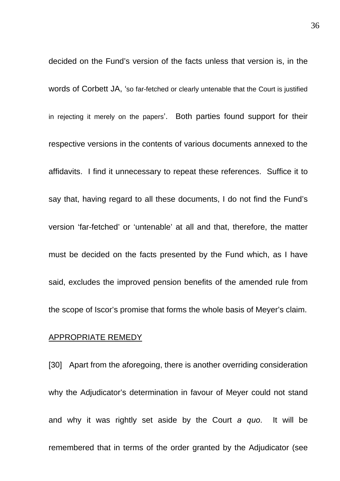decided on the Fund's version of the facts unless that version is, in the words of Corbett JA, 'so far-fetched or clearly untenable that the Court is justified in rejecting it merely on the papers'. Both parties found support for their respective versions in the contents of various documents annexed to the affidavits. I find it unnecessary to repeat these references. Suffice it to say that, having regard to all these documents, I do not find the Fund's version 'far-fetched' or 'untenable' at all and that, therefore, the matter must be decided on the facts presented by the Fund which, as I have said, excludes the improved pension benefits of the amended rule from the scope of Iscor's promise that forms the whole basis of Meyer's claim.

### APPROPRIATE REMEDY

[30] Apart from the aforegoing, there is another overriding consideration why the Adjudicator's determination in favour of Meyer could not stand and why it was rightly set aside by the Court *a quo*. It will be remembered that in terms of the order granted by the Adjudicator (see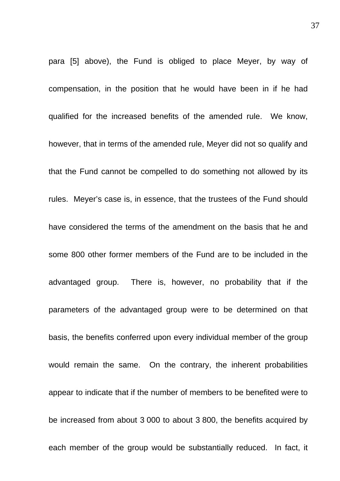para [5] above), the Fund is obliged to place Meyer, by way of compensation, in the position that he would have been in if he had qualified for the increased benefits of the amended rule. We know, however, that in terms of the amended rule, Meyer did not so qualify and that the Fund cannot be compelled to do something not allowed by its rules. Meyer's case is, in essence, that the trustees of the Fund should have considered the terms of the amendment on the basis that he and some 800 other former members of the Fund are to be included in the advantaged group. There is, however, no probability that if the parameters of the advantaged group were to be determined on that basis, the benefits conferred upon every individual member of the group would remain the same. On the contrary, the inherent probabilities appear to indicate that if the number of members to be benefited were to be increased from about 3 000 to about 3 800, the benefits acquired by each member of the group would be substantially reduced. In fact, it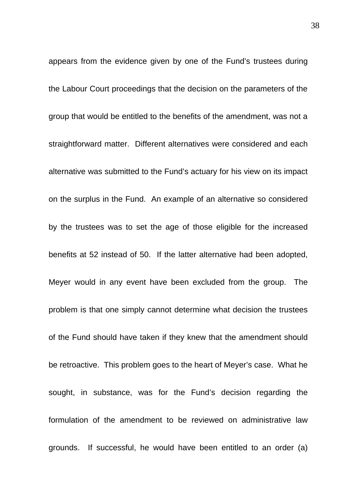appears from the evidence given by one of the Fund's trustees during the Labour Court proceedings that the decision on the parameters of the group that would be entitled to the benefits of the amendment, was not a straightforward matter. Different alternatives were considered and each alternative was submitted to the Fund's actuary for his view on its impact on the surplus in the Fund. An example of an alternative so considered by the trustees was to set the age of those eligible for the increased benefits at 52 instead of 50. If the latter alternative had been adopted, Meyer would in any event have been excluded from the group. The problem is that one simply cannot determine what decision the trustees of the Fund should have taken if they knew that the amendment should be retroactive. This problem goes to the heart of Meyer's case. What he sought, in substance, was for the Fund's decision regarding the formulation of the amendment to be reviewed on administrative law grounds. If successful, he would have been entitled to an order (a)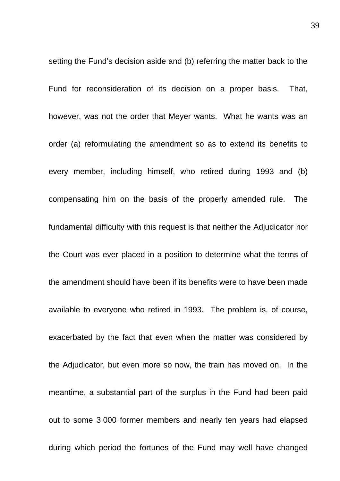setting the Fund's decision aside and (b) referring the matter back to the Fund for reconsideration of its decision on a proper basis. That, however, was not the order that Meyer wants. What he wants was an order (a) reformulating the amendment so as to extend its benefits to every member, including himself, who retired during 1993 and (b) compensating him on the basis of the properly amended rule. The fundamental difficulty with this request is that neither the Adjudicator nor the Court was ever placed in a position to determine what the terms of the amendment should have been if its benefits were to have been made available to everyone who retired in 1993. The problem is, of course, exacerbated by the fact that even when the matter was considered by the Adjudicator, but even more so now, the train has moved on. In the meantime, a substantial part of the surplus in the Fund had been paid out to some 3 000 former members and nearly ten years had elapsed during which period the fortunes of the Fund may well have changed

39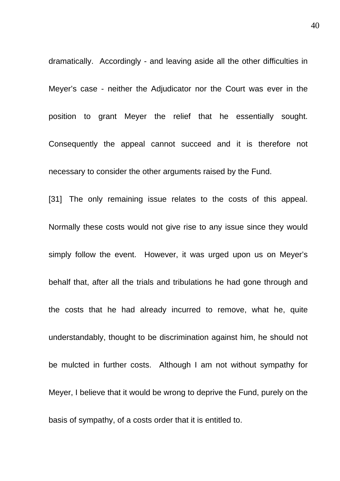dramatically. Accordingly - and leaving aside all the other difficulties in Meyer's case - neither the Adjudicator nor the Court was ever in the position to grant Meyer the relief that he essentially sought. Consequently the appeal cannot succeed and it is therefore not necessary to consider the other arguments raised by the Fund.

[31] The only remaining issue relates to the costs of this appeal. Normally these costs would not give rise to any issue since they would simply follow the event. However, it was urged upon us on Meyer's behalf that, after all the trials and tribulations he had gone through and the costs that he had already incurred to remove, what he, quite understandably, thought to be discrimination against him, he should not be mulcted in further costs. Although I am not without sympathy for Meyer, I believe that it would be wrong to deprive the Fund, purely on the basis of sympathy, of a costs order that it is entitled to.